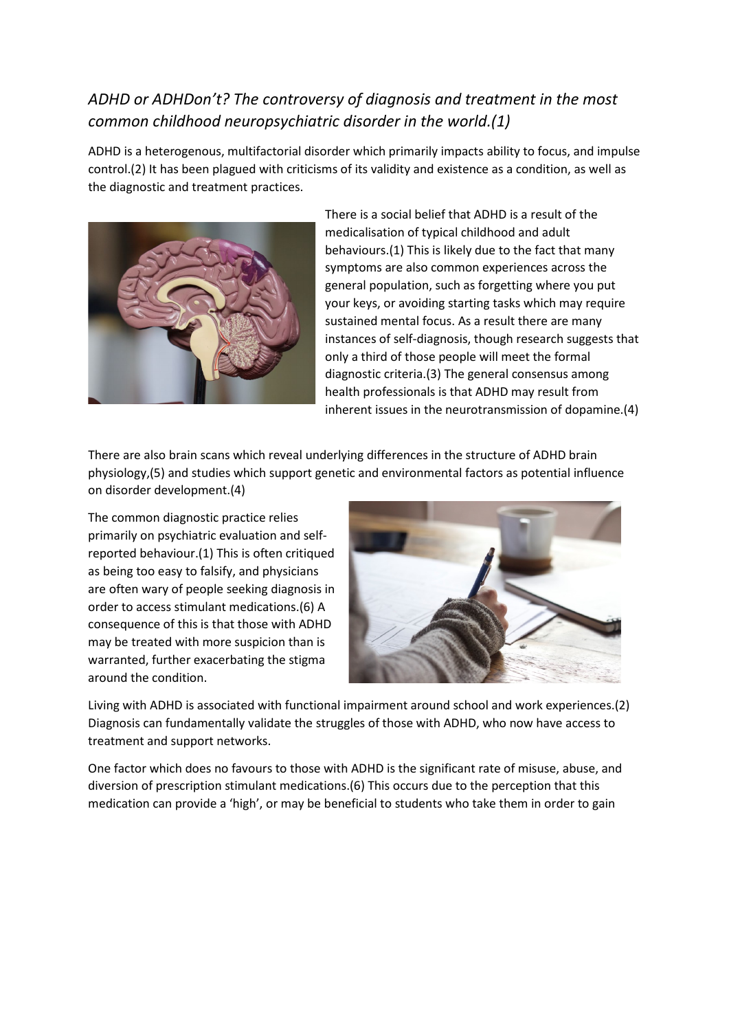## *ADHD or ADHDon't? The controversy of diagnosis and treatment in the most common childhood neuropsychiatric disorder in the world.(1)*

ADHD is a heterogenous, multifactorial disorder which primarily impacts ability to focus, and impulse control.(2) It has been plagued with criticisms of its validity and existence as a condition, as well as the diagnostic and treatment practices.



There is a social belief that ADHD is a result of the medicalisation of typical childhood and adult behaviours.(1) This is likely due to the fact that many symptoms are also common experiences across the general population, such as forgetting where you put your keys, or avoiding starting tasks which may require sustained mental focus. As a result there are many instances of self-diagnosis, though research suggests that only a third of those people will meet the formal diagnostic criteria.(3) The general consensus among health professionals is that ADHD may result from inherent issues in the neurotransmission of dopamine.(4)

There are also brain scans which reveal underlying differences in the structure of ADHD brain physiology,(5) and studies which support genetic and environmental factors as potential influence on disorder development.(4)

The common diagnostic practice relies primarily on psychiatric evaluation and selfreported behaviour.(1) This is often critiqued as being too easy to falsify, and physicians are often wary of people seeking diagnosis in order to access stimulant medications.(6) A consequence of this is that those with ADHD may be treated with more suspicion than is warranted, further exacerbating the stigma around the condition.



Living with ADHD is associated with functional impairment around school and work experiences.(2) Diagnosis can fundamentally validate the struggles of those with ADHD, who now have access to treatment and support networks.

One factor which does no favours to those with ADHD is the significant rate of misuse, abuse, and diversion of prescription stimulant medications.(6) This occurs due to the perception that this medication can provide a 'high', or may be beneficial to students who take them in order to gain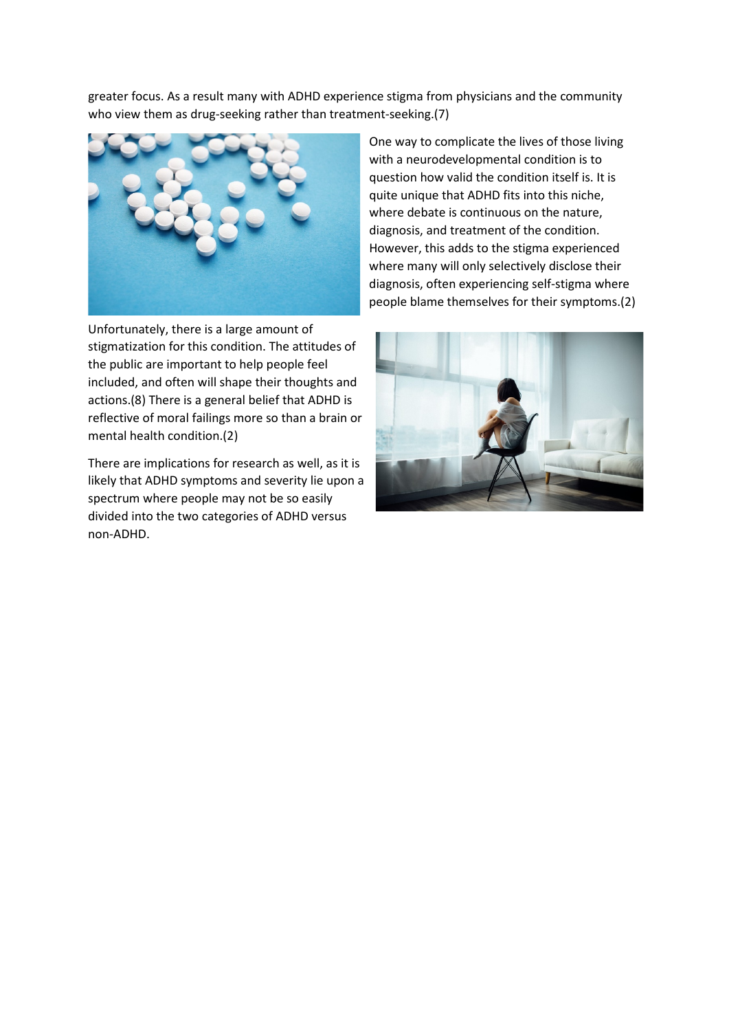greater focus. As a result many with ADHD experience stigma from physicians and the community who view them as drug-seeking rather than treatment-seeking.(7)



Unfortunately, there is a large amount of stigmatization for this condition. The attitudes of the public are important to help people feel included, and often will shape their thoughts and actions.(8) There is a general belief that ADHD is reflective of moral failings more so than a brain or mental health condition.(2)

There are implications for research as well, as it is likely that ADHD symptoms and severity lie upon a spectrum where people may not be so easily divided into the two categories of ADHD versus non-ADHD.

One way to complicate the lives of those living with a neurodevelopmental condition is to question how valid the condition itself is. It is quite unique that ADHD fits into this niche, where debate is continuous on the nature, diagnosis, and treatment of the condition. However, this adds to the stigma experienced where many will only selectively disclose their diagnosis, often experiencing self-stigma where people blame themselves for their symptoms.(2)